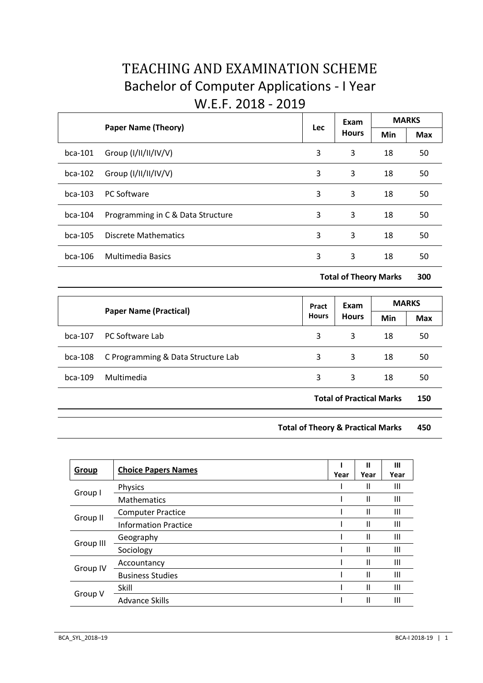# TEACHING AND EXAMINATION SCHEME Bachelor of Computer Applications - I Year W.E.F. 2018 - 2019

|           |                                   | Lec | Exam<br><b>Hours</b> | <b>MARKS</b> |            |
|-----------|-----------------------------------|-----|----------------------|--------------|------------|
|           | <b>Paper Name (Theory)</b>        |     |                      | Min          | <b>Max</b> |
| $bca-101$ | Group $(I/II/II/IV/V)$            | 3   | 3                    | 18           | 50         |
| $bca-102$ | Group $(I/II/II/IV/V)$            | 3   | 3                    | 18           | 50         |
| $bca-103$ | <b>PC Software</b>                | 3   | 3                    | 18           | 50         |
| $bca-104$ | Programming in C & Data Structure | 3   | 3                    | 18           | 50         |
| $bca-105$ | Discrete Mathematics              | 3   | 3                    | 18           | 50         |
| $bca-106$ | <b>Multimedia Basics</b>          | 3   | 3                    | 18           | 50         |

**Total of Theory Marks 300**

|           | <b>Paper Name (Practical)</b>      | Pract<br><b>Hours</b> | Exam<br><b>Hours</b>            | <b>MARKS</b> |            |
|-----------|------------------------------------|-----------------------|---------------------------------|--------------|------------|
|           |                                    |                       |                                 | Min          | <b>Max</b> |
| $bca-107$ | PC Software Lab                    | 3                     | 3                               | 18           | 50         |
| $bca-108$ | C Programming & Data Structure Lab | 3                     | 3                               | 18           | 50         |
| $bca-109$ | Multimedia                         | 3                     | 3                               | 18           | 50         |
|           |                                    |                       | <b>Total of Practical Marks</b> |              | 150        |

**Total of Theory & Practical Marks 450**

| <b>Group</b> | <b>Choice Papers Names</b>  | Year | Ш<br>Year     | Ш<br>Year      |
|--------------|-----------------------------|------|---------------|----------------|
|              | <b>Physics</b>              |      | Ш             | Ш              |
| Group I      | <b>Mathematics</b>          |      | Ш             | Ш              |
|              | <b>Computer Practice</b>    |      | Ш             | Ш              |
| Group II     | <b>Information Practice</b> |      | $\mathsf{II}$ | $\mathbf{III}$ |
|              | Geography                   |      | $\mathsf{II}$ | Ш              |
| Group III    | Sociology                   |      | Ш             | Ш              |
|              | Accountancy                 |      | Ш             | Ш              |
| Group IV     | <b>Business Studies</b>     |      | Ш             | Ш              |
|              | Skill                       |      | Ш             | Ш              |
| Group V      | Advance Skills              |      | Ш             | Ш              |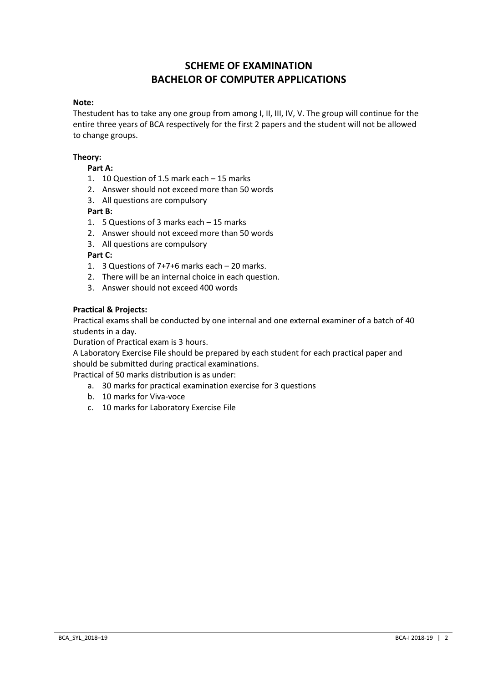## **SCHEME OF EXAMINATION BACHELOR OF COMPUTER APPLICATIONS**

#### **Note:**

Thestudent has to take any one group from among I, II, III, IV, V. The group will continue for the entire three years of BCA respectively for the first 2 papers and the student will not be allowed to change groups.

## **Theory:**

## **Part A:**

- 1. 10 Question of 1.5 mark each 15 marks
- 2. Answer should not exceed more than 50 words
- 3. All questions are compulsory

## **Part B:**

- 1. 5 Questions of 3 marks each 15 marks
- 2. Answer should not exceed more than 50 words
- 3. All questions are compulsory

## **Part C:**

- 1. 3 Questions of 7+7+6 marks each 20 marks.
- 2. There will be an internal choice in each question.
- 3. Answer should not exceed 400 words

#### **Practical & Projects:**

Practical exams shall be conducted by one internal and one external examiner of a batch of 40 students in a day.

Duration of Practical exam is 3 hours.

A Laboratory Exercise File should be prepared by each student for each practical paper and should be submitted during practical examinations.

Practical of 50 marks distribution is as under:

- a. 30 marks for practical examination exercise for 3 questions
- b. 10 marks for Viva-voce
- c. 10 marks for Laboratory Exercise File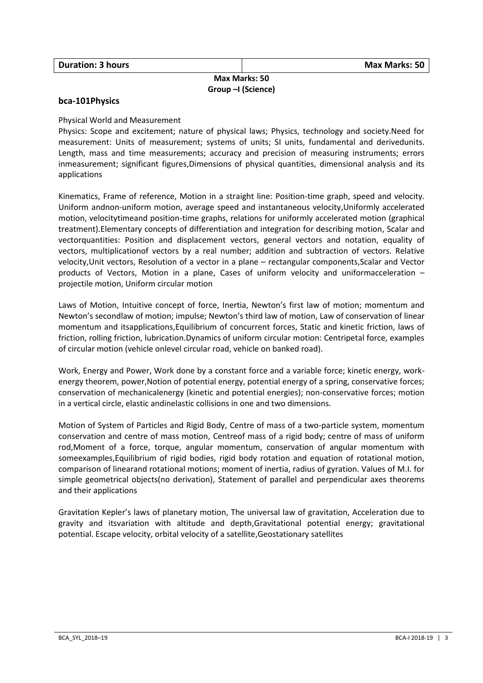## **Max Marks: 50 Group –I (Science)**

#### **bca-101Physics**

#### Physical World and Measurement

Physics: Scope and excitement; nature of physical laws; Physics, technology and society.Need for measurement: Units of measurement; systems of units; SI units, fundamental and derivedunits. Length, mass and time measurements; accuracy and precision of measuring instruments; errors inmeasurement; significant figures,Dimensions of physical quantities, dimensional analysis and its applications

Kinematics, Frame of reference, Motion in a straight line: Position-time graph, speed and velocity. Uniform andnon-uniform motion, average speed and instantaneous velocity,Uniformly accelerated motion, velocitytimeand position-time graphs, relations for uniformly accelerated motion (graphical treatment).Elementary concepts of differentiation and integration for describing motion, Scalar and vectorquantities: Position and displacement vectors, general vectors and notation, equality of vectors, multiplicationof vectors by a real number; addition and subtraction of vectors. Relative velocity,Unit vectors, Resolution of a vector in a plane – rectangular components,Scalar and Vector products of Vectors, Motion in a plane, Cases of uniform velocity and uniformacceleration – projectile motion, Uniform circular motion

Laws of Motion, Intuitive concept of force, Inertia, Newton's first law of motion; momentum and Newton's secondlaw of motion; impulse; Newton's third law of motion, Law of conservation of linear momentum and itsapplications,Equilibrium of concurrent forces, Static and kinetic friction, laws of friction, rolling friction, lubrication.Dynamics of uniform circular motion: Centripetal force, examples of circular motion (vehicle onlevel circular road, vehicle on banked road).

Work, Energy and Power, Work done by a constant force and a variable force; kinetic energy, workenergy theorem, power,Notion of potential energy, potential energy of a spring, conservative forces; conservation of mechanicalenergy (kinetic and potential energies); non-conservative forces; motion in a vertical circle, elastic andinelastic collisions in one and two dimensions.

Motion of System of Particles and Rigid Body, Centre of mass of a two-particle system, momentum conservation and centre of mass motion, Centreof mass of a rigid body; centre of mass of uniform rod,Moment of a force, torque, angular momentum, conservation of angular momentum with someexamples,Equilibrium of rigid bodies, rigid body rotation and equation of rotational motion, comparison of linearand rotational motions; moment of inertia, radius of gyration. Values of M.I. for simple geometrical objects(no derivation), Statement of parallel and perpendicular axes theorems and their applications

Gravitation Kepler's laws of planetary motion, The universal law of gravitation, Acceleration due to gravity and itsvariation with altitude and depth,Gravitational potential energy; gravitational potential. Escape velocity, orbital velocity of a satellite,Geostationary satellites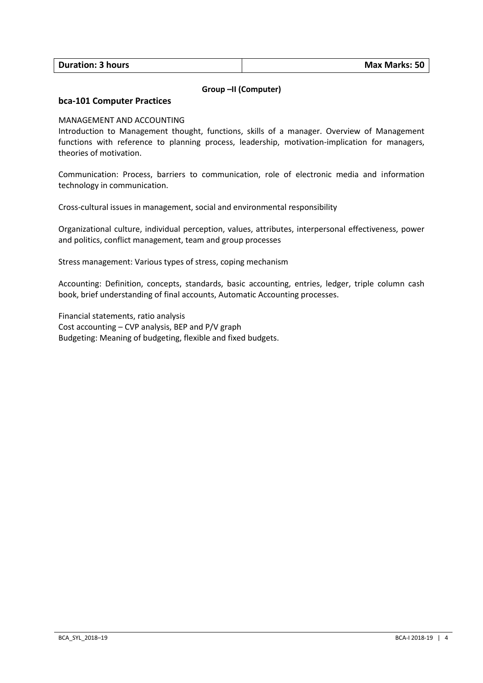| <b>Duration: 3 hours</b> | <b>Max Marks: 50</b> |
|--------------------------|----------------------|
|                          |                      |

## **Group –II (Computer)**

#### **bca-101 Computer Practices**

#### MANAGEMENT AND ACCOUNTING

Introduction to Management thought, functions, skills of a manager. Overview of Management functions with reference to planning process, leadership, motivation-implication for managers, theories of motivation.

Communication: Process, barriers to communication, role of electronic media and information technology in communication.

Cross-cultural issues in management, social and environmental responsibility

Organizational culture, individual perception, values, attributes, interpersonal effectiveness, power and politics, conflict management, team and group processes

Stress management: Various types of stress, coping mechanism

Accounting: Definition, concepts, standards, basic accounting, entries, ledger, triple column cash book, brief understanding of final accounts, Automatic Accounting processes.

Financial statements, ratio analysis Cost accounting – CVP analysis, BEP and P/V graph Budgeting: Meaning of budgeting, flexible and fixed budgets.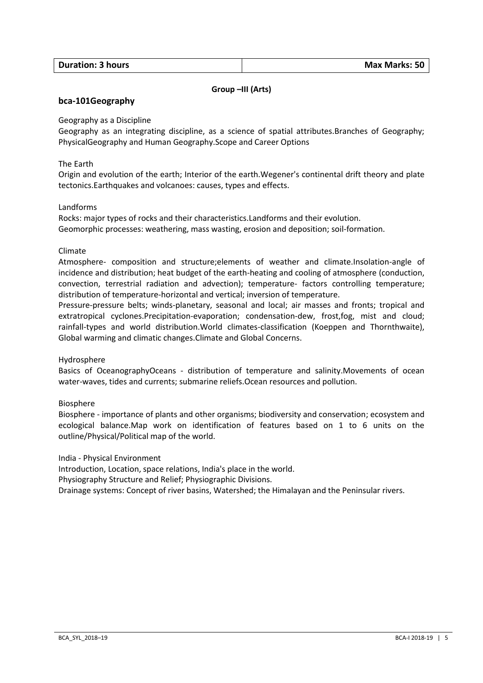| <b>Duration: 3 hours</b> | <b>Max Marks: 50</b> |
|--------------------------|----------------------|
|                          |                      |

## **Group –III (Arts)**

#### **bca-101Geography**

Geography as a Discipline

Geography as an integrating discipline, as a science of spatial attributes.Branches of Geography; PhysicalGeography and Human Geography.Scope and Career Options

The Earth

Origin and evolution of the earth; Interior of the earth.Wegener's continental drift theory and plate tectonics.Earthquakes and volcanoes: causes, types and effects.

#### Landforms

Rocks: major types of rocks and their characteristics.Landforms and their evolution. Geomorphic processes: weathering, mass wasting, erosion and deposition; soil-formation.

Climate

Atmosphere- composition and structure;elements of weather and climate.Insolation-angle of incidence and distribution; heat budget of the earth-heating and cooling of atmosphere (conduction, convection, terrestrial radiation and advection); temperature- factors controlling temperature; distribution of temperature-horizontal and vertical; inversion of temperature.

Pressure-pressure belts; winds-planetary, seasonal and local; air masses and fronts; tropical and extratropical cyclones.Precipitation-evaporation; condensation-dew, frost,fog, mist and cloud; rainfall-types and world distribution.World climates-classification (Koeppen and Thornthwaite), Global warming and climatic changes.Climate and Global Concerns.

Hydrosphere

Basics of OceanographyOceans - distribution of temperature and salinity.Movements of ocean water-waves, tides and currents; submarine reliefs.Ocean resources and pollution.

Biosphere

Biosphere - importance of plants and other organisms; biodiversity and conservation; ecosystem and ecological balance.Map work on identification of features based on 1 to 6 units on the outline/Physical/Political map of the world.

India - Physical Environment

Introduction, Location, space relations, India's place in the world.

Physiography Structure and Relief; Physiographic Divisions.

Drainage systems: Concept of river basins, Watershed; the Himalayan and the Peninsular rivers.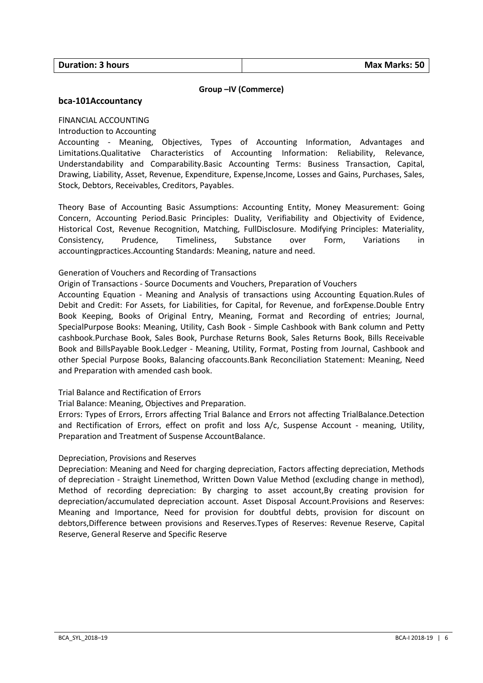#### **Group –IV (Commerce)**

#### **bca-101Accountancy**

FlNANCIAL ACCOUNTING

Introduction to Accounting

Accounting - Meaning, Objectives, Types of Accounting Information, Advantages and Limitations.Qualitative Characteristics of Accounting Information: Reliability, Relevance, Understandability and Comparability.Basic Accounting Terms: Business Transaction, Capital, Drawing, Liability, Asset, Revenue, Expenditure, Expense,Income, Losses and Gains, Purchases, Sales, Stock, Debtors, Receivables, Creditors, Payables.

Theory Base of Accounting Basic Assumptions: Accounting Entity, Money Measurement: Going Concern, Accounting Period.Basic Principles: Duality, Verifiability and Objectivity of Evidence, Historical Cost, Revenue Recognition, Matching, FullDisclosure. Modifying Principles: Materiality, Consistency, Prudence, Timeliness, Substance over Form, Variations in accountingpractices.Accounting Standards: Meaning, nature and need.

#### Generation of Vouchers and Recording of Transactions

Origin of Transactions - Source Documents and Vouchers, Preparation of Vouchers

Accounting Equation - Meaning and Analysis of transactions using Accounting Equation.Rules of Debit and Credit: For Assets, for Liabilities, for Capital, for Revenue, and forExpense.Double Entry Book Keeping, Books of Original Entry, Meaning, Format and Recording of entries; Journal, SpecialPurpose Books: Meaning, Utility, Cash Book - Simple Cashbook with Bank column and Petty cashbook.Purchase Book, Sales Book, Purchase Returns Book, Sales Returns Book, Bills Receivable Book and BillsPayable Book.Ledger - Meaning, Utility, Format, Posting from Journal, Cashbook and other Special Purpose Books, Balancing ofaccounts.Bank Reconciliation Statement: Meaning, Need and Preparation with amended cash book.

#### Trial Balance and Rectification of Errors

Trial Balance: Meaning, Objectives and Preparation.

Errors: Types of Errors, Errors affecting Trial Balance and Errors not affecting TrialBalance.Detection and Rectification of Errors, effect on profit and loss A/c, Suspense Account - meaning, Utility, Preparation and Treatment of Suspense AccountBalance.

#### Depreciation, Provisions and Reserves

Depreciation: Meaning and Need for charging depreciation, Factors affecting depreciation, Methods of depreciation - Straight Linemethod, Written Down Value Method (excluding change in method), Method of recording depreciation: By charging to asset account,By creating provision for depreciation/accumulated depreciation account. Asset Disposal Account.Provisions and Reserves: Meaning and Importance, Need for provision for doubtful debts, provision for discount on debtors,Difference between provisions and Reserves.Types of Reserves: Revenue Reserve, Capital Reserve, General Reserve and Specific Reserve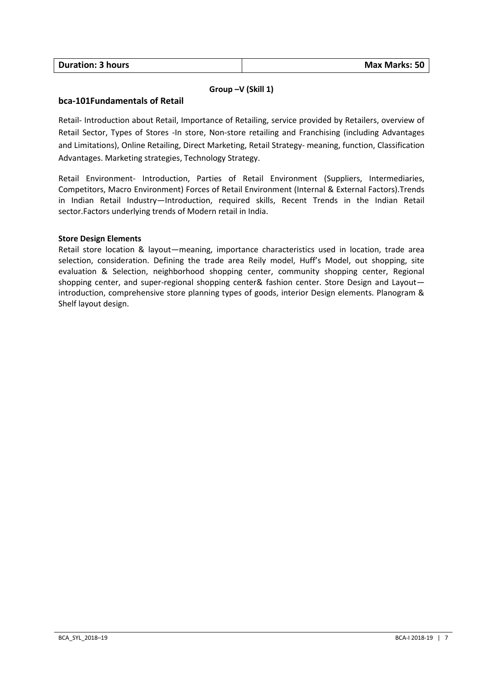| <b>Duration: 3 hours</b> | Max Marks: 50 |
|--------------------------|---------------|

## **Group –V (Skill 1)**

## **bca-101Fundamentals of Retail**

Retail- Introduction about Retail, Importance of Retailing, service provided by Retailers, overview of Retail Sector, Types of Stores -In store, Non-store retailing and Franchising (including Advantages and Limitations), Online Retailing, Direct Marketing, Retail Strategy- meaning, function, Classification Advantages. Marketing strategies, Technology Strategy.

Retail Environment- Introduction, Parties of Retail Environment (Suppliers, Intermediaries, Competitors, Macro Environment) Forces of Retail Environment (Internal & External Factors).Trends in Indian Retail Industry—Introduction, required skills, Recent Trends in the Indian Retail sector.Factors underlying trends of Modern retail in India.

## **Store Design Elements**

Retail store location & layout—meaning, importance characteristics used in location, trade area selection, consideration. Defining the trade area Reily model, Huff's Model, out shopping, site evaluation & Selection, neighborhood shopping center, community shopping center, Regional shopping center, and super-regional shopping center& fashion center. Store Design and Layout introduction, comprehensive store planning types of goods, interior Design elements. Planogram & Shelf layout design.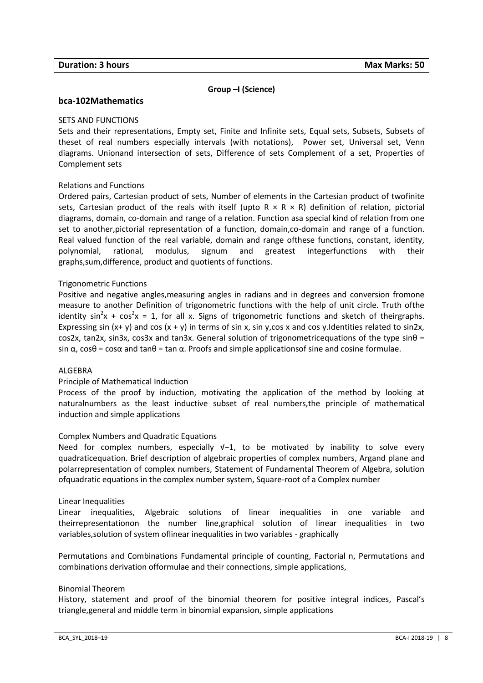## **Group –I (Science)**

## **bca-102Mathematics**

#### SETS AND FUNCTIONS

Sets and their representations, Empty set, Finite and Infinite sets, Equal sets, Subsets, Subsets of theset of real numbers especially intervals (with notations), Power set, Universal set, Venn diagrams. Unionand intersection of sets, Difference of sets Complement of a set, Properties of Complement sets

## Relations and Functions

Ordered pairs, Cartesian product of sets, Number of elements in the Cartesian product of twofinite sets, Cartesian product of the reals with itself (upto  $R \times R \times R$ ) definition of relation, pictorial diagrams, domain, co-domain and range of a relation. Function asa special kind of relation from one set to another,pictorial representation of a function, domain,co-domain and range of a function. Real valued function of the real variable, domain and range ofthese functions, constant, identity, polynomial, rational, modulus, signum and greatest integerfunctions with their graphs,sum,difference, product and quotients of functions.

#### Trigonometric Functions

Positive and negative angles,measuring angles in radians and in degrees and conversion fromone measure to another Definition of trigonometric functions with the help of unit circle. Truth ofthe identity sin<sup>2</sup>x + cos<sup>2</sup>x = 1, for all x. Signs of trigonometric functions and sketch of theirgraphs. Expressing sin  $(x+y)$  and cos  $(x+y)$  in terms of sin x, sin y,cos x and cos y.Identities related to sin2x, cos2x, tan2x, sin3x, cos3x and tan3x. General solution of trigonometricequations of the type  $sin\theta =$ sin  $\alpha$ , cosθ = cosα and tanθ = tan  $\alpha$ . Proofs and simple applicationsof sine and cosine formulae.

#### ALGEBRA

#### Principle of Mathematical Induction

Process of the proof by induction, motivating the application of the method by looking at naturalnumbers as the least inductive subset of real numbers,the principle of mathematical induction and simple applications

#### Complex Numbers and Quadratic Equations

Need for complex numbers, especially V-1, to be motivated by inability to solve every quadraticequation. Brief description of algebraic properties of complex numbers, Argand plane and polarrepresentation of complex numbers, Statement of Fundamental Theorem of Algebra, solution ofquadratic equations in the complex number system, Square-root of a Complex number

#### Linear Inequalities

Linear inequalities, Algebraic solutions of linear inequalities in one variable and theirrepresentationon the number line,graphical solution of linear inequalities in two variables,solution of system oflinear inequalities in two variables - graphically

Permutations and Combinations Fundamental principle of counting, Factorial n, Permutations and combinations derivation offormulae and their connections, simple applications,

#### Binomial Theorem

History, statement and proof of the binomial theorem for positive integral indices, Pascal's triangle,general and middle term in binomial expansion, simple applications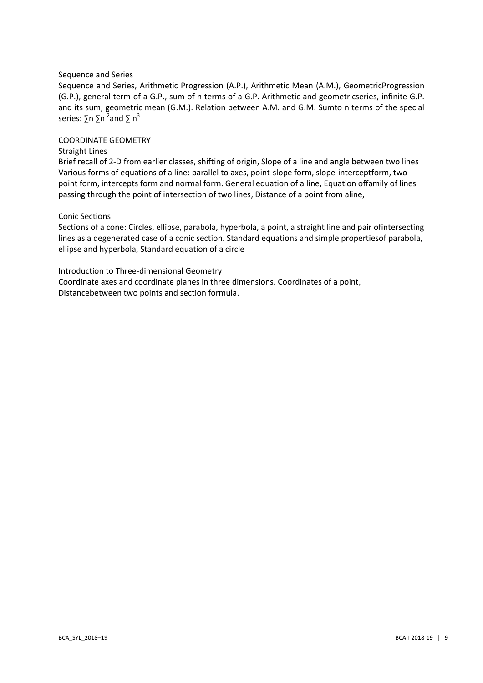## Sequence and Series

Sequence and Series, Arithmetic Progression (A.P.), Arithmetic Mean (A.M.), GeometricProgression (G.P.), general term of a G.P., sum of n terms of a G.P. Arithmetic and geometricseries, infinite G.P. and its sum, geometric mean (G.M.). Relation between A.M. and G.M. Sumto n terms of the special series:  $\Sigma$ n  $\Sigma$ n <sup>2</sup>and  $\Sigma$  n<sup>3</sup>

#### COORDINATE GEOMETRY

#### Straight Lines

Brief recall of 2-D from earlier classes, shifting of origin, Slope of a line and angle between two lines Various forms of equations of a line: parallel to axes, point-slope form, slope-interceptform, twopoint form, intercepts form and normal form. General equation of a line, Equation offamily of lines passing through the point of intersection of two lines, Distance of a point from aline,

#### Conic Sections

Sections of a cone: Circles, ellipse, parabola, hyperbola, a point, a straight line and pair ofintersecting lines as a degenerated case of a conic section. Standard equations and simple propertiesof parabola, ellipse and hyperbola, Standard equation of a circle

Introduction to Three-dimensional Geometry

Coordinate axes and coordinate planes in three dimensions. Coordinates of a point, Distancebetween two points and section formula.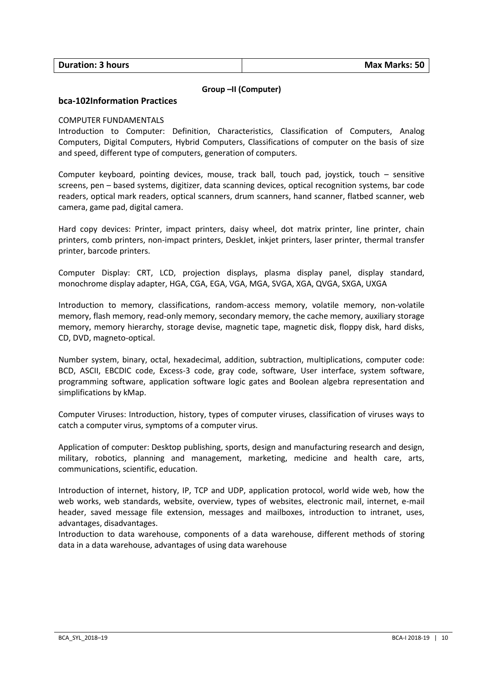#### **Group –II (Computer)**

#### **bca-102Information Practices**

#### COMPUTER FUNDAMENTALS

Introduction to Computer: Definition, Characteristics, Classification of Computers, Analog Computers, Digital Computers, Hybrid Computers, Classifications of computer on the basis of size and speed, different type of computers, generation of computers.

Computer keyboard, pointing devices, mouse, track ball, touch pad, joystick, touch – sensitive screens, pen – based systems, digitizer, data scanning devices, optical recognition systems, bar code readers, optical mark readers, optical scanners, drum scanners, hand scanner, flatbed scanner, web camera, game pad, digital camera.

Hard copy devices: Printer, impact printers, daisy wheel, dot matrix printer, line printer, chain printers, comb printers, non-impact printers, DeskJet, inkjet printers, laser printer, thermal transfer printer, barcode printers.

Computer Display: CRT, LCD, projection displays, plasma display panel, display standard, monochrome display adapter, HGA, CGA, EGA, VGA, MGA, SVGA, XGA, QVGA, SXGA, UXGA

Introduction to memory, classifications, random-access memory, volatile memory, non-volatile memory, flash memory, read-only memory, secondary memory, the cache memory, auxiliary storage memory, memory hierarchy, storage devise, magnetic tape, magnetic disk, floppy disk, hard disks, CD, DVD, magneto-optical.

Number system, binary, octal, hexadecimal, addition, subtraction, multiplications, computer code: BCD, ASCII, EBCDIC code, Excess-3 code, gray code, software, User interface, system software, programming software, application software logic gates and Boolean algebra representation and simplifications by kMap.

Computer Viruses: Introduction, history, types of computer viruses, classification of viruses ways to catch a computer virus, symptoms of a computer virus.

Application of computer: Desktop publishing, sports, design and manufacturing research and design, military, robotics, planning and management, marketing, medicine and health care, arts, communications, scientific, education.

Introduction of internet, history, IP, TCP and UDP, application protocol, world wide web, how the web works, web standards, website, overview, types of websites, electronic mail, internet, e-mail header, saved message file extension, messages and mailboxes, introduction to intranet, uses, advantages, disadvantages.

Introduction to data warehouse, components of a data warehouse, different methods of storing data in a data warehouse, advantages of using data warehouse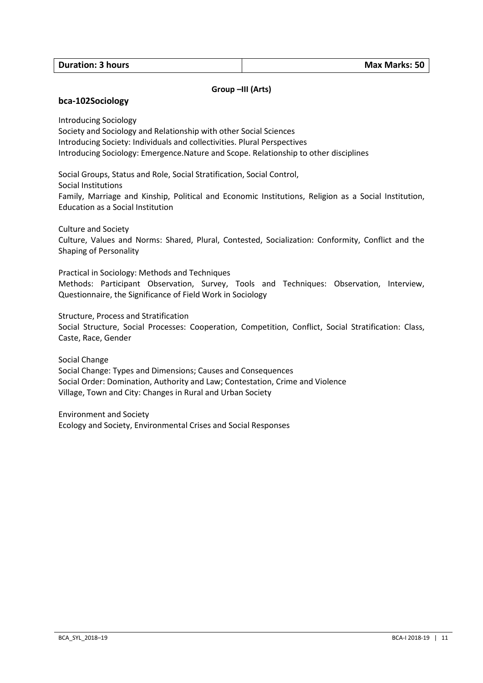#### **Group –III (Arts)**

#### **bca-102Sociology**

Introducing Sociology

Society and Sociology and Relationship with other Social Sciences Introducing Society: Individuals and collectivities. Plural Perspectives Introducing Sociology: Emergence.Nature and Scope. Relationship to other disciplines

Social Groups, Status and Role, Social Stratification, Social Control, Social Institutions Family, Marriage and Kinship, Political and Economic Institutions, Religion as a Social Institution, Education as a Social Institution

Culture and Society

Culture, Values and Norms: Shared, Plural, Contested, Socialization: Conformity, Conflict and the Shaping of Personality

Practical in Sociology: Methods and Techniques

Methods: Participant Observation, Survey, Tools and Techniques: Observation, Interview, Questionnaire, the Significance of Field Work in Sociology

Structure, Process and Stratification

Social Structure, Social Processes: Cooperation, Competition, Conflict, Social Stratification: Class, Caste, Race, Gender

Social Change

Social Change: Types and Dimensions; Causes and Consequences Social Order: Domination, Authority and Law; Contestation, Crime and Violence Village, Town and City: Changes in Rural and Urban Society

Environment and Society Ecology and Society, Environmental Crises and Social Responses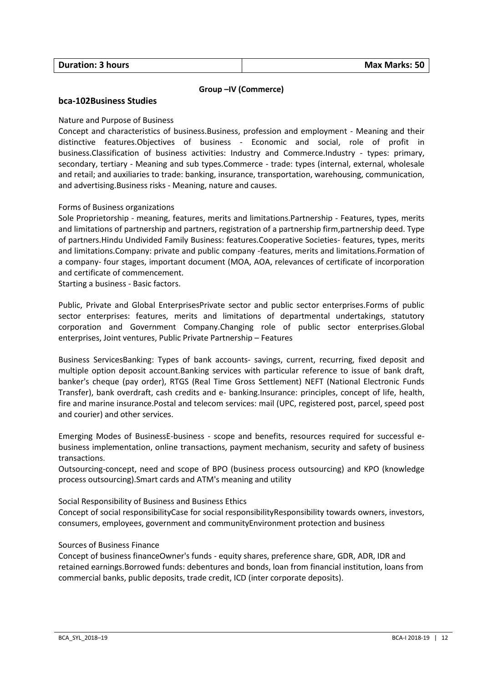## **Group –IV (Commerce)**

#### **bca-102Business Studies**

#### Nature and Purpose of Business

Concept and characteristics of business.Business, profession and employment - Meaning and their distinctive features.Objectives of business - Economic and social, role of profit in business.Classification of business activities: Industry and Commerce.Industry - types: primary, secondary, tertiary - Meaning and sub types.Commerce - trade: types (internal, external, wholesale and retail; and auxiliaries to trade: banking, insurance, transportation, warehousing, communication, and advertising.Business risks - Meaning, nature and causes.

## Forms of Business organizations

Sole Proprietorship - meaning, features, merits and limitations.Partnership - Features, types, merits and limitations of partnership and partners, registration of a partnership firm,partnership deed. Type of partners.Hindu Undivided Family Business: features.Cooperative Societies- features, types, merits and limitations.Company: private and public company -features, merits and limitations.Formation of a company- four stages, important document (MOA, AOA, relevances of certificate of incorporation and certificate of commencement.

Starting a business - Basic factors.

Public, Private and Global EnterprisesPrivate sector and public sector enterprises.Forms of public sector enterprises: features, merits and limitations of departmental undertakings, statutory corporation and Government Company.Changing role of public sector enterprises.Global enterprises, Joint ventures, Public Private Partnership – Features

Business ServicesBanking: Types of bank accounts- savings, current, recurring, fixed deposit and multiple option deposit account.Banking services with particular reference to issue of bank draft, banker's cheque (pay order), RTGS (Real Time Gross Settlement) NEFT (National Electronic Funds Transfer), bank overdraft, cash credits and e- banking.Insurance: principles, concept of life, health, fire and marine insurance.Postal and telecom services: mail (UPC, registered post, parcel, speed post and courier) and other services.

Emerging Modes of BusinessE-business - scope and benefits, resources required for successful ebusiness implementation, online transactions, payment mechanism, security and safety of business transactions.

Outsourcing-concept, need and scope of BPO (business process outsourcing) and KPO (knowledge process outsourcing).Smart cards and ATM's meaning and utility

Social Responsibility of Business and Business Ethics

Concept of social responsibilityCase for social responsibilityResponsibility towards owners, investors, consumers, employees, government and communityEnvironment protection and business

#### Sources of Business Finance

Concept of business financeOwner's funds - equity shares, preference share, GDR, ADR, IDR and retained earnings.Borrowed funds: debentures and bonds, loan from financial institution, loans from commercial banks, public deposits, trade credit, ICD (inter corporate deposits).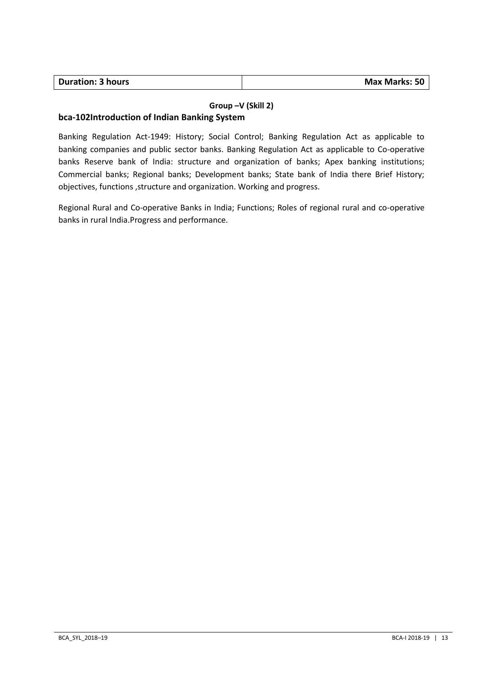| <b>Duration: 3 hours</b> | Max Marks: 50 |
|--------------------------|---------------|

## **Group –V (Skill 2)**

## **bca-102Introduction of Indian Banking System**

Banking Regulation Act-1949: History; Social Control; Banking Regulation Act as applicable to banking companies and public sector banks. Banking Regulation Act as applicable to Co-operative banks Reserve bank of India: structure and organization of banks; Apex banking institutions; Commercial banks; Regional banks; Development banks; State bank of India there Brief History; objectives, functions ,structure and organization. Working and progress.

Regional Rural and Co-operative Banks in India; Functions; Roles of regional rural and co-operative banks in rural India.Progress and performance.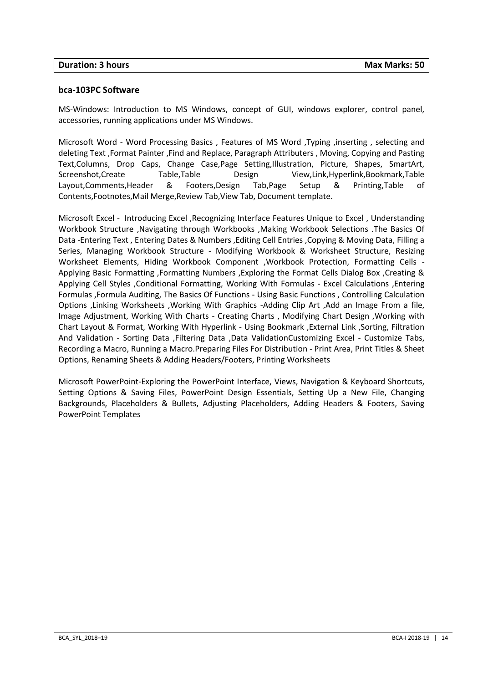| <b>Duration: 3 hours</b> | <b>Max Marks: 50</b> |
|--------------------------|----------------------|
|                          |                      |

## **bca-103PC Software**

MS-Windows: Introduction to MS Windows, concept of GUI, windows explorer, control panel, accessories, running applications under MS Windows.

Microsoft Word - Word Processing Basics , Features of MS Word ,Typing ,inserting , selecting and deleting Text ,Format Painter ,Find and Replace, Paragraph Attributers , Moving, Copying and Pasting Text,Columns, Drop Caps, Change Case,Page Setting,Illustration, Picture, Shapes, SmartArt, Screenshot,Create Table,Table Design View,Link,Hyperlink,Bookmark,Table Layout,Comments,Header & Footers,Design Tab,Page Setup & Printing,Table of Contents,Footnotes,Mail Merge,Review Tab,View Tab, Document template.

Microsoft Excel - Introducing Excel ,Recognizing Interface Features Unique to Excel , Understanding Workbook Structure ,Navigating through Workbooks ,Making Workbook Selections .The Basics Of Data -Entering Text , Entering Dates & Numbers ,Editing Cell Entries ,Copying & Moving Data, Filling a Series, Managing Workbook Structure - Modifying Workbook & Worksheet Structure, Resizing Worksheet Elements, Hiding Workbook Component ,Workbook Protection, Formatting Cells - Applying Basic Formatting ,Formatting Numbers ,Exploring the Format Cells Dialog Box ,Creating & Applying Cell Styles ,Conditional Formatting, Working With Formulas - Excel Calculations ,Entering Formulas ,Formula Auditing, The Basics Of Functions - Using Basic Functions , Controlling Calculation Options ,Linking Worksheets ,Working With Graphics -Adding Clip Art ,Add an Image From a file, Image Adjustment, Working With Charts - Creating Charts , Modifying Chart Design ,Working with Chart Layout & Format, Working With Hyperlink - Using Bookmark ,External Link ,Sorting, Filtration And Validation - Sorting Data ,Filtering Data ,Data ValidationCustomizing Excel - Customize Tabs, Recording a Macro, Running a Macro.Preparing Files For Distribution - Print Area, Print Titles & Sheet Options, Renaming Sheets & Adding Headers/Footers, Printing Worksheets

Microsoft PowerPoint-Exploring the PowerPoint Interface, Views, Navigation & Keyboard Shortcuts, Setting Options & Saving Files, PowerPoint Design Essentials, Setting Up a New File, Changing Backgrounds, Placeholders & Bullets, Adjusting Placeholders, Adding Headers & Footers, Saving PowerPoint Templates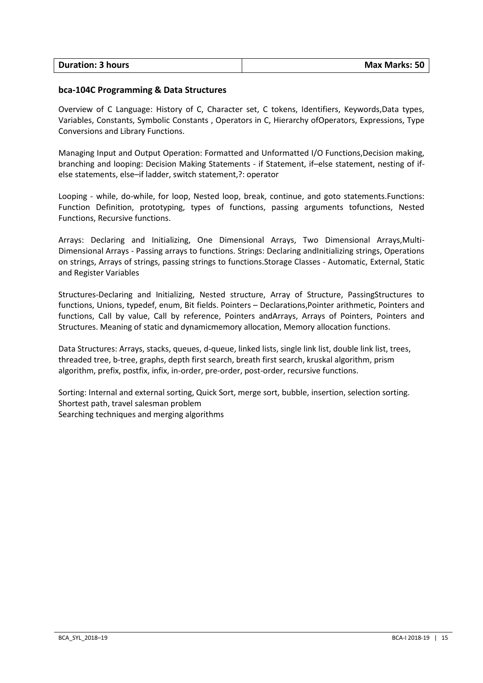| <b>Duration: 3 hours</b> | <b>Max Marks: 50</b> |
|--------------------------|----------------------|
|                          |                      |

#### **bca-104C Programming & Data Structures**

Overview of C Language: History of C, Character set, C tokens, Identifiers, Keywords,Data types, Variables, Constants, Symbolic Constants , Operators in C, Hierarchy ofOperators, Expressions, Type Conversions and Library Functions.

Managing Input and Output Operation: Formatted and Unformatted I/O Functions,Decision making, branching and looping: Decision Making Statements - if Statement, if–else statement, nesting of ifelse statements, else–if ladder, switch statement,?: operator

Looping - while, do-while, for loop, Nested loop, break, continue, and goto statements.Functions: Function Definition, prototyping, types of functions, passing arguments tofunctions, Nested Functions, Recursive functions.

Arrays: Declaring and Initializing, One Dimensional Arrays, Two Dimensional Arrays,Multi-Dimensional Arrays - Passing arrays to functions. Strings: Declaring andInitializing strings, Operations on strings, Arrays of strings, passing strings to functions.Storage Classes - Automatic, External, Static and Register Variables

Structures-Declaring and Initializing, Nested structure, Array of Structure, PassingStructures to functions, Unions, typedef, enum, Bit fields. Pointers – Declarations,Pointer arithmetic, Pointers and functions, Call by value, Call by reference, Pointers andArrays, Arrays of Pointers, Pointers and Structures. Meaning of static and dynamicmemory allocation, Memory allocation functions.

Data Structures: Arrays, stacks, queues, d-queue, linked lists, single link list, double link list, trees, threaded tree, b-tree, graphs, depth first search, breath first search, kruskal algorithm, prism algorithm, prefix, postfix, infix, in-order, pre-order, post-order, recursive functions.

Sorting: Internal and external sorting, Quick Sort, merge sort, bubble, insertion, selection sorting. Shortest path, travel salesman problem Searching techniques and merging algorithms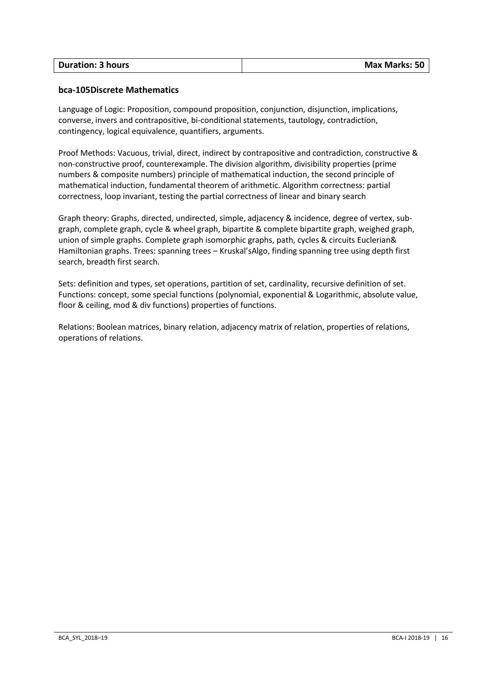| <b>Duration: 3 hours</b> | <b>Max Marks: 50</b> |
|--------------------------|----------------------|

## **bca-105Discrete Mathematics**

Language of Logic: Proposition, compound proposition, conjunction, disjunction, implications, converse, invers and contrapositive, bi-conditional statements, tautology, contradiction, contingency, logical equivalence, quantifiers, arguments.

Proof Methods: Vacuous, trivial, direct, indirect by contrapositive and contradiction, constructive & non-constructive proof, counterexample. The division algorithm, divisibility properties (prime numbers & composite numbers) principle of mathematical induction, the second principle of mathematical induction, fundamental theorem of arithmetic. Algorithm correctness: partial correctness, loop invariant, testing the partial correctness of linear and binary search

Graph theory: Graphs, directed, undirected, simple, adjacency & incidence, degree of vertex, subgraph, complete graph, cycle & wheel graph, bipartite & complete bipartite graph, weighed graph, union of simple graphs. Complete graph isomorphic graphs, path, cycles & circuits Euclerian& Hamiltonian graphs. Trees: spanning trees – Kruskal'sAlgo, finding spanning tree using depth first search, breadth first search.

Sets: definition and types, set operations, partition of set, cardinality, recursive definition of set. Functions: concept, some special functions (polynomial, exponential & Logarithmic, absolute value, floor & ceiling, mod & div functions) properties of functions.

Relations: Boolean matrices, binary relation, adjacency matrix of relation, properties of relations, operations of relations.